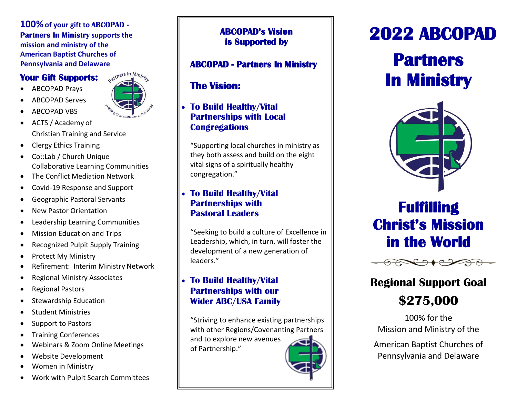### **100%of your gift to ABCOPAD - Partners In Ministry supports the mission and ministry of the American Baptist Churches of Pennsylvania and Delaware**

### **Your Gift Supports:**

- ABCOPAD Prays
- ABCOPAD Serves
- ABCOPAD VBS
- 
- ACTS / Academy of Christian Training and Service
- Clergy Ethics Training
- Co::Lab / Church Unique Collaborative Learning Communities
- The Conflict Mediation Network
- Covid-19 Response and Support
- Geographic Pastoral Servants
- New Pastor Orientation
- Leadership Learning Communities
- Mission Education and Trips
- Recognized Pulpit Supply Training
- Protect My Ministry
- Refirement: Interim Ministry Network
- Regional Ministry Associates
- Regional Pastors
- Stewardship Education
- Student Ministries
- Support to Pastors
- Training Conferences
- Webinars & Zoom Online Meetings
- Website Development
- Women in Ministry
- Work with Pulpit Search Committees

### **ABCOPAD's Vision is Supported by**

### **ABCOPAD - Partners In Ministry**

## **The Vision:**

### • **To Build Healthy/Vital Partnerships with Local Congregations**

"Supporting local churches in ministry as they both assess and build on the eight vital signs of a spiritually healthy congregation."

### • **To Build Healthy/Vital Partnerships with Pastoral Leaders**

"Seeking to build a culture of Excellence in Leadership, which, in turn, will foster the development of a new generation of leaders."

### • **To Build Healthy/Vital Partnerships with our Wider ABC/USA Family**

"Striving to enhance existing partnerships with other Regions/Covenanting Partners and to explore new avenues of Partnership."

# **2022 ABCOPAD**

# **Partners In Ministry**



# **Fulfilling Christ's Mission in the World**



## **Regional Support Goal \$275,000**

100% for the Mission and Ministry of the

American Baptist Churches of Pennsylvania and Delaware